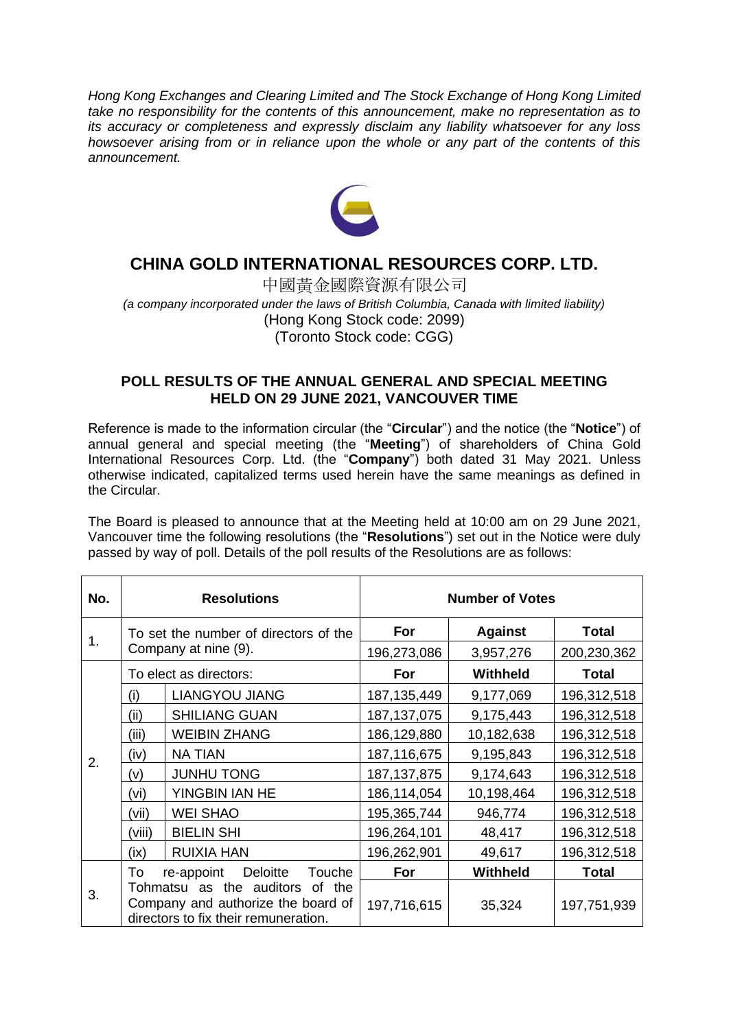*Hong Kong Exchanges and Clearing Limited and The Stock Exchange of Hong Kong Limited take no responsibility for the contents of this announcement, make no representation as to its accuracy or completeness and expressly disclaim any liability whatsoever for any loss howsoever arising from or in reliance upon the whole or any part of the contents of this announcement.*



## **CHINA GOLD INTERNATIONAL RESOURCES CORP. LTD.**

中國黃金國際資源有限公司 *(a company incorporated under the laws of British Columbia, Canada with limited liability)* (Hong Kong Stock code: 2099) (Toronto Stock code: CGG)

## **POLL RESULTS OF THE ANNUAL GENERAL AND SPECIAL MEETING HELD ON 29 JUNE 2021, VANCOUVER TIME**

Reference is made to the information circular (the "**Circular**") and the notice (the "**Notice**") of annual general and special meeting (the "**Meeting**") of shareholders of China Gold International Resources Corp. Ltd. (the "**Company**") both dated 31 May 2021. Unless otherwise indicated, capitalized terms used herein have the same meanings as defined in the Circular.

The Board is pleased to announce that at the Meeting held at 10:00 am on 29 June 2021, Vancouver time the following resolutions (the "**Resolutions**") set out in the Notice were duly passed by way of poll. Details of the poll results of the Resolutions are as follows:

| No. | <b>Resolutions</b>                                                                                               |                       | <b>Number of Votes</b> |                 |              |
|-----|------------------------------------------------------------------------------------------------------------------|-----------------------|------------------------|-----------------|--------------|
| 1.  | To set the number of directors of the<br>Company at nine (9).                                                    |                       | For                    | <b>Against</b>  | <b>Total</b> |
|     |                                                                                                                  |                       | 196,273,086            | 3,957,276       | 200,230,362  |
| 2.  | To elect as directors:                                                                                           |                       | For                    | Withheld        | <b>Total</b> |
|     | (i)                                                                                                              | <b>LIANGYOU JIANG</b> | 187, 135, 449          | 9,177,069       | 196,312,518  |
|     | (ii)                                                                                                             | <b>SHILIANG GUAN</b>  | 187, 137, 075          | 9,175,443       | 196,312,518  |
|     | (iii)                                                                                                            | <b>WEIBIN ZHANG</b>   | 186,129,880            | 10,182,638      | 196,312,518  |
|     | (iv)                                                                                                             | <b>NA TIAN</b>        | 187,116,675            | 9,195,843       | 196,312,518  |
|     | (v)                                                                                                              | <b>JUNHU TONG</b>     | 187, 137, 875          | 9,174,643       | 196,312,518  |
|     | (vi)                                                                                                             | YINGBIN IAN HE        | 186,114,054            | 10,198,464      | 196,312,518  |
|     | (vii)                                                                                                            | <b>WEI SHAO</b>       | 195,365,744            | 946,774         | 196,312,518  |
|     | (viii)                                                                                                           | <b>BIELIN SHI</b>     | 196,264,101            | 48,417          | 196,312,518  |
|     | (ix)                                                                                                             | <b>RUIXIA HAN</b>     | 196,262,901            | 49,617          | 196,312,518  |
| 3.  | To<br>re-appoint<br><b>Deloitte</b><br>Touche                                                                    |                       | For                    | <b>Withheld</b> | <b>Total</b> |
|     | Tohmatsu as the auditors<br>of the<br>Company and authorize the board of<br>directors to fix their remuneration. |                       | 197,716,615            | 35,324          | 197,751,939  |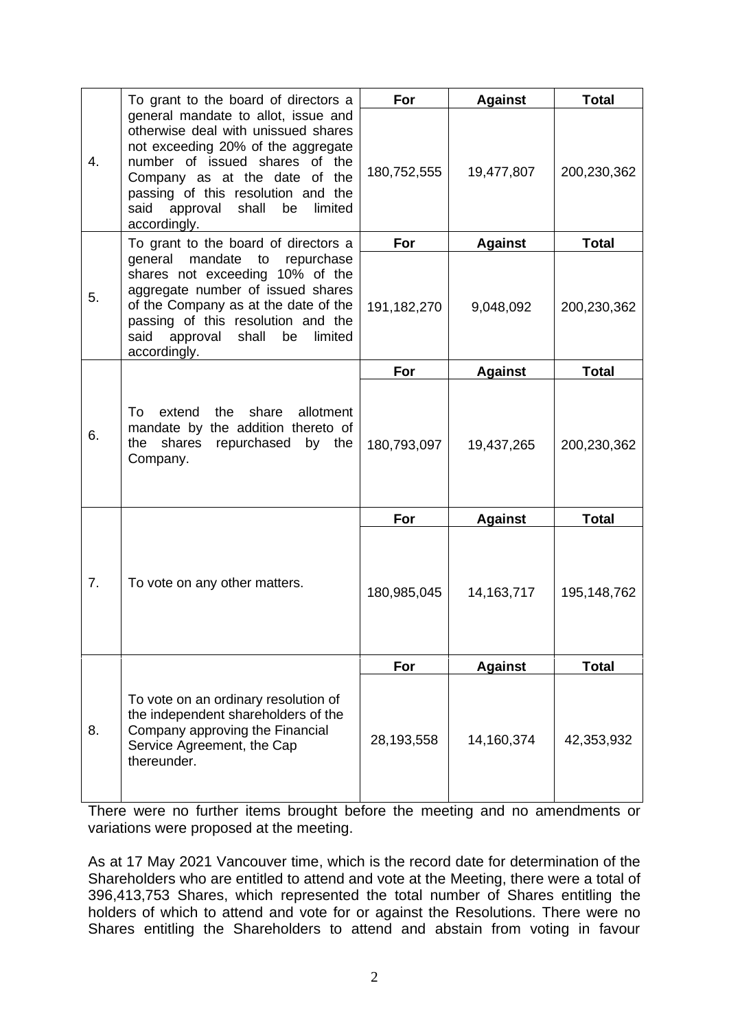|    | To grant to the board of directors a                                                                                                                                                                                                                                                 | For         | <b>Against</b> | <b>Total</b> |
|----|--------------------------------------------------------------------------------------------------------------------------------------------------------------------------------------------------------------------------------------------------------------------------------------|-------------|----------------|--------------|
| 4. | general mandate to allot, issue and<br>otherwise deal with unissued shares<br>not exceeding 20% of the aggregate<br>number of issued shares of the<br>Company as at the date of the<br>passing of this resolution and the<br>said<br>approval shall<br>limited<br>be<br>accordingly. | 180,752,555 | 19,477,807     | 200,230,362  |
|    | To grant to the board of directors a                                                                                                                                                                                                                                                 | For         | <b>Against</b> | <b>Total</b> |
| 5. | general mandate to repurchase<br>shares not exceeding 10% of the<br>aggregate number of issued shares<br>of the Company as at the date of the<br>passing of this resolution and the<br>said<br>approval<br>shall<br>limited<br>be<br>accordingly.                                    | 191,182,270 | 9,048,092      | 200,230,362  |
|    | extend<br>the<br>share<br>allotment<br>To<br>mandate by the addition thereto of<br>shares repurchased<br>the<br>by the<br>Company.                                                                                                                                                   | For         | <b>Against</b> | <b>Total</b> |
| 6. |                                                                                                                                                                                                                                                                                      | 180,793,097 | 19,437,265     | 200,230,362  |
|    |                                                                                                                                                                                                                                                                                      | For         | <b>Against</b> | <b>Total</b> |
| 7. | To vote on any other matters.                                                                                                                                                                                                                                                        | 180,985,045 | 14, 163, 717   | 195,148,762  |
|    |                                                                                                                                                                                                                                                                                      | For         | <b>Against</b> | <b>Total</b> |
| 8. | To vote on an ordinary resolution of<br>the independent shareholders of the<br>Company approving the Financial<br>Service Agreement, the Cap<br>thereunder.                                                                                                                          | 28,193,558  | 14,160,374     | 42,353,932   |

There were no further items brought before the meeting and no amendments or variations were proposed at the meeting.

As at 17 May 2021 Vancouver time, which is the record date for determination of the Shareholders who are entitled to attend and vote at the Meeting, there were a total of 396,413,753 Shares, which represented the total number of Shares entitling the holders of which to attend and vote for or against the Resolutions. There were no Shares entitling the Shareholders to attend and abstain from voting in favour